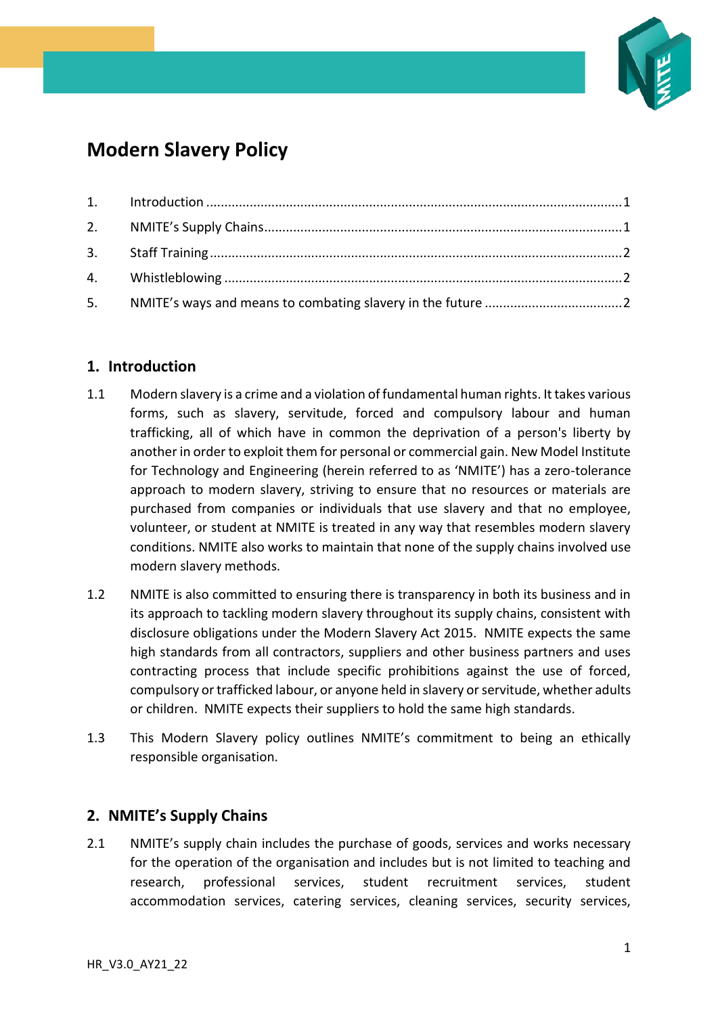

# **Modern Slavery Policy**

# <span id="page-0-0"></span>**1. Introduction**

- 1.1 Modern slavery is a crime and a violation of fundamental human rights. It takes various forms, such as slavery, servitude, forced and compulsory labour and human trafficking, all of which have in common the deprivation of a person's liberty by another in order to exploit them for personal or commercial gain. New Model Institute for Technology and Engineering (herein referred to as 'NMITE') has a zero-tolerance approach to modern slavery, striving to ensure that no resources or materials are purchased from companies or individuals that use slavery and that no employee, volunteer, or student at NMITE is treated in any way that resembles modern slavery conditions. NMITE also works to maintain that none of the supply chains involved use modern slavery methods.
- 1.2 NMITE is also committed to ensuring there is transparency in both its business and in its approach to tackling modern slavery throughout its supply chains, consistent with disclosure obligations under the Modern Slavery Act 2015. NMITE expects the same high standards from all contractors, suppliers and other business partners and uses contracting process that include specific prohibitions against the use of forced, compulsory or trafficked labour, or anyone held in slavery or servitude, whether adults or children. NMITE expects their suppliers to hold the same high standards.
- 1.3 This Modern Slavery policy outlines NMITE's commitment to being an ethically responsible organisation.

## <span id="page-0-1"></span>**2. NMITE's Supply Chains**

2.1 NMITE's supply chain includes the purchase of goods, services and works necessary for the operation of the organisation and includes but is not limited to teaching and research, professional services, student recruitment services, student accommodation services, catering services, cleaning services, security services,